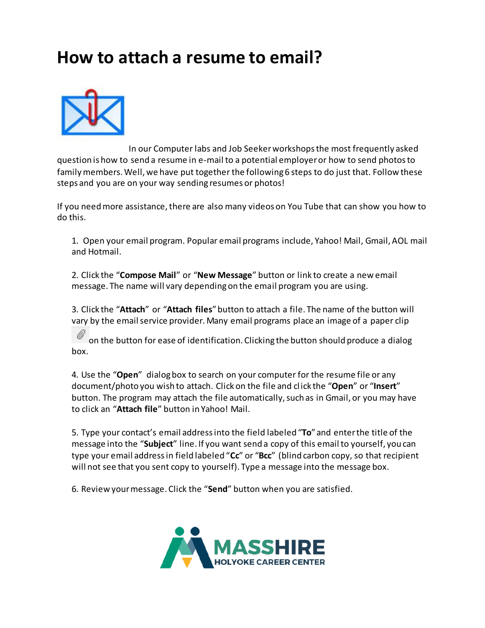## **How to attach a resume to email?**



[I](http://pokbtop.files.wordpress.com/2012/01/email-attachment.jpg)n our Computer labs and Job Seeker workshops the most frequently asked question is how to send a resume in e-mail to a potential employer or how to send photos to family members. Well, we have put together the following 6 steps to do just that. Follow these steps and you are on your way sending resumes or photos!

If you need more assistance, there are also many videos on You Tube that can show you how to do this.

1. Open your email program. Popular email programs include, Yahoo! Mail, Gmail, AOL mail and Hotmail.

2. Click the "**Compose Mail**" or "**New Message**" button or link to create a new email message. The name will vary depending on the email program you are using.

3. Click the "**Attach**" or "**Attach files**" button to attach a file. The name of the button will vary by the email service provider. Many email programs place an image of a paper clip

[o](http://pokbtop.files.wordpress.com/2012/01/attach1.jpg)n the button for ease of identification. Clicking the button should produce a dialog box.

4. Use the "**Open**" dialog box to search on your computer for the resume file or any document/photo you wish to attach. Click on the file and click the "**Open**" or "**Insert**" button. The program may attach the file automatically, such as in Gmail, or you may have to click an "**Attach file**" button in Yahoo! Mail.

5. Type your contact's email address into the field labeled "**To**" and enter the title of the message into the "**Subject**" line. If you want send a copy of this email to yourself, you can type your email address in field labeled "**Cc**" or "**Bcc**" (blind carbon copy, so that recipient will not see that you sent copy to yourself). Type a message into the message box.

6. Review your message. Click the "**Send**" button when you are satisfied.